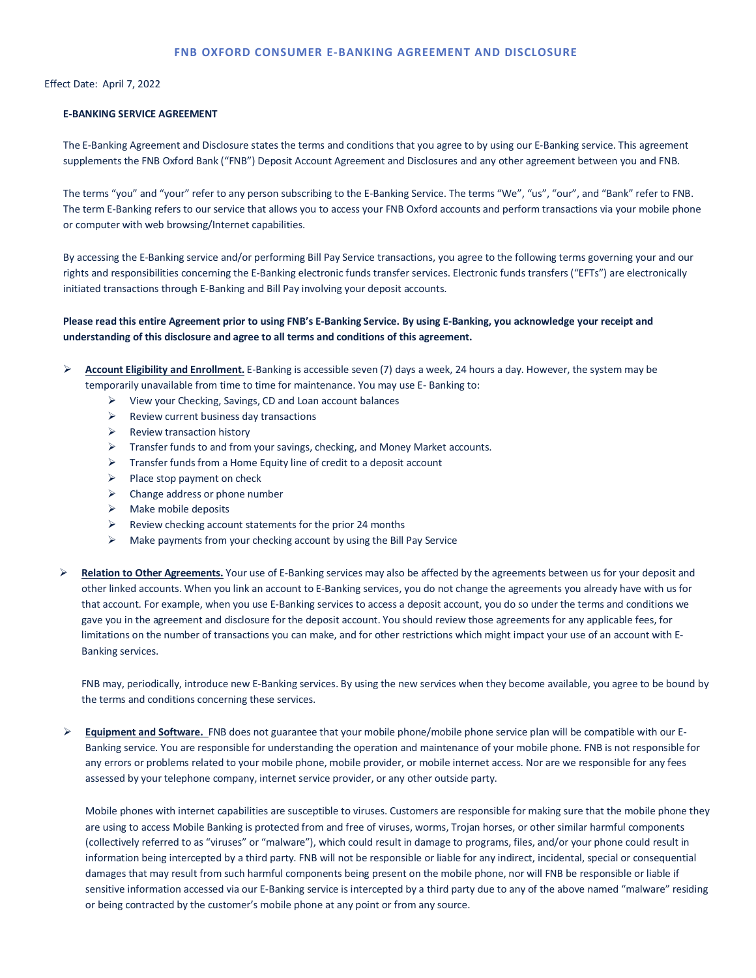# **FNB OXFORD CONSUMER E-BANKING AGREEMENT AND DISCLOSURE**

Effect Date: April 7, 2022

# **E-BANKING SERVICE AGREEMENT**

The E-Banking Agreement and Disclosure states the terms and conditions that you agree to by using our E-Banking service. This agreement supplements the FNB Oxford Bank ("FNB") Deposit Account Agreement and Disclosures and any other agreement between you and FNB.

The terms "you" and "your" refer to any person subscribing to the E-Banking Service. The terms "We", "us", "our", and "Bank" refer to FNB. The term E-Banking refers to our service that allows you to access your FNB Oxford accounts and perform transactions via your mobile phone or computer with web browsing/Internet capabilities.

By accessing the E-Banking service and/or performing Bill Pay Service transactions, you agree to the following terms governing your and our rights and responsibilities concerning the E-Banking electronic funds transfer services. Electronic funds transfers ("EFTs") are electronically initiated transactions through E-Banking and Bill Pay involving your deposit accounts.

# **Please read this entire Agreement prior to using FNB's E-Banking Service. By using E-Banking, you acknowledge your receipt and understanding of this disclosure and agree to all terms and conditions of this agreement.**

 **Account Eligibility and Enrollment.** E-Banking is accessible seven (7) days a week, 24 hours a day. However, the system may be temporarily unavailable from time to time for maintenance. You may use E- Banking to:

- $\triangleright$  View your Checking, Savings, CD and Loan account balances
- $\triangleright$  Review current business day transactions
- $\triangleright$  Review transaction history
- $\triangleright$  Transfer funds to and from your savings, checking, and Money Market accounts.
- $\triangleright$  Transfer funds from a Home Equity line of credit to a deposit account
- $\triangleright$  Place stop payment on check
- $\triangleright$  Change address or phone number
- $\triangleright$  Make mobile deposits
- $\triangleright$  Review checking account statements for the prior 24 months
- $\triangleright$  Make payments from your checking account by using the Bill Pay Service

 **Relation to Other Agreements.** Your use of E-Banking services may also be affected by the agreements between us for your deposit and other linked accounts. When you link an account to E-Banking services, you do not change the agreements you already have with us for that account. For example, when you use E-Banking services to access a deposit account, you do so under the terms and conditions we gave you in the agreement and disclosure for the deposit account. You should review those agreements for any applicable fees, for limitations on the number of transactions you can make, and for other restrictions which might impact your use of an account with E-Banking services.

FNB may, periodically, introduce new E-Banking services. By using the new services when they become available, you agree to be bound by the terms and conditions concerning these services.

 **Equipment and Software.** FNB does not guarantee that your mobile phone/mobile phone service plan will be compatible with our E-Banking service. You are responsible for understanding the operation and maintenance of your mobile phone. FNB is not responsible for any errors or problems related to your mobile phone, mobile provider, or mobile internet access. Nor are we responsible for any fees assessed by your telephone company, internet service provider, or any other outside party.

Mobile phones with internet capabilities are susceptible to viruses. Customers are responsible for making sure that the mobile phone they are using to access Mobile Banking is protected from and free of viruses, worms, Trojan horses, or other similar harmful components (collectively referred to as "viruses" or "malware"), which could result in damage to programs, files, and/or your phone could result in information being intercepted by a third party. FNB will not be responsible or liable for any indirect, incidental, special or consequential damages that may result from such harmful components being present on the mobile phone, nor will FNB be responsible or liable if sensitive information accessed via our E-Banking service is intercepted by a third party due to any of the above named "malware" residing or being contracted by the customer's mobile phone at any point or from any source.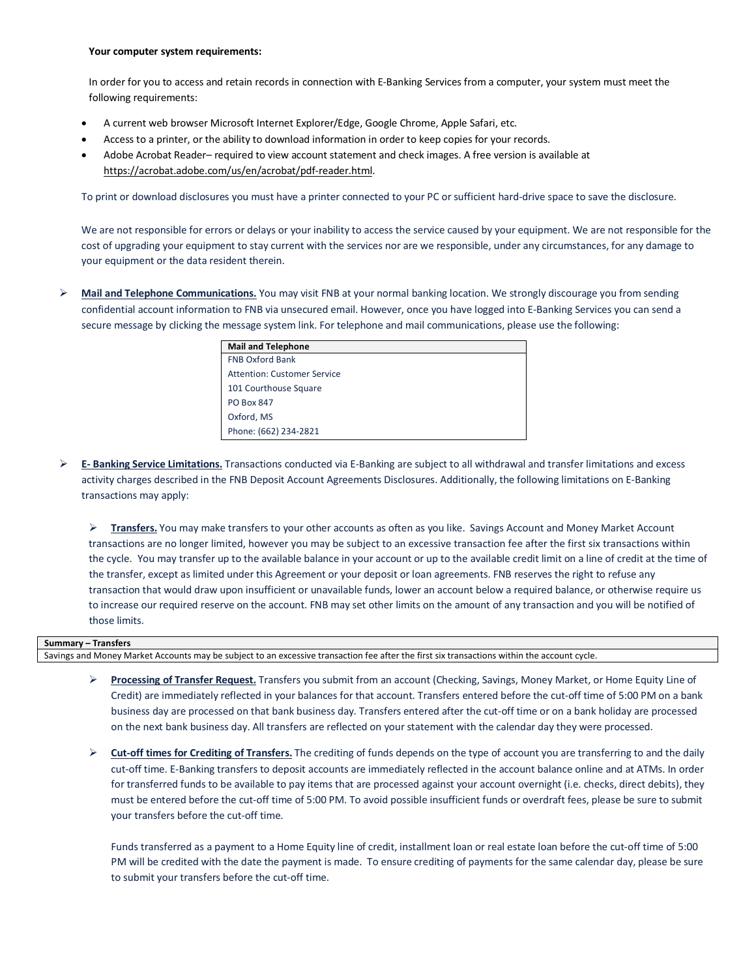#### **Your computer system requirements:**

 In order for you to access and retain records in connection with E-Banking Services from a computer, your system must meet the following requirements:

- A current web browser Microsoft Internet Explorer/Edge, Google Chrome, Apple Safari, etc.
- Access to a printer, or the ability to download information in order to keep copies for your records.
- Adobe Acrobat Reader– required to view account statement and check images. A free version is available at https://acrobat.adobe.com/us/en/acrobat/pdf-reader.html.

To print or download disclosures you must have a printer connected to your PC or sufficient hard-drive space to save the disclosure.

We are not responsible for errors or delays or your inability to access the service caused by your equipment. We are not responsible for the cost of upgrading your equipment to stay current with the services nor are we responsible, under any circumstances, for any damage to your equipment or the data resident therein.

 **Mail and Telephone Communications.** You may visit FNB at your normal banking location. We strongly discourage you from sending confidential account information to FNB via unsecured email. However, once you have logged into E-Banking Services you can send a secure message by clicking the message system link. For telephone and mail communications, please use the following:

| <b>Mail and Telephone</b>          |
|------------------------------------|
| <b>FNB Oxford Bank</b>             |
| <b>Attention: Customer Service</b> |
| 101 Courthouse Square              |
| <b>PO Box 847</b>                  |
| Oxford, MS                         |
| Phone: (662) 234-2821              |

➤ **E- Banking Service Limitations.** Transactions conducted via E-Banking are subject to all withdrawal and transfer limitations and excess activity charges described in the FNB Deposit Account Agreements Disclosures. Additionally, the following limitations on E-Banking transactions may apply:

 **Transfers.** You may make transfers to your other accounts as often as you like. Savings Account and Money Market Account transactions are no longer limited, however you may be subject to an excessive transaction fee after the first six transactions within the cycle. You may transfer up to the available balance in your account or up to the available credit limit on a line of credit at the time of the transfer, except as limited under this Agreement or your deposit or loan agreements. FNB reserves the right to refuse any transaction that would draw upon insufficient or unavailable funds, lower an account below a required balance, or otherwise require us to increase our required reserve on the account. FNB may set other limits on the amount of any transaction and you will be notified of those limits.

#### **Summary – Transfers**

Savings and Money Market Accounts may be subject to an excessive transaction fee after the first six transactions within the account cycle.

- **Processing of Transfer Request.** Transfers you submit from an account (Checking, Savings, Money Market, or Home Equity Line of Credit) are immediately reflected in your balances for that account. Transfers entered before the cut-off time of 5:00 PM on a bank business day are processed on that bank business day. Transfers entered after the cut-off time or on a bank holiday are processed on the next bank business day. All transfers are reflected on your statement with the calendar day they were processed.
- **Cut-off times for Crediting of Transfers.** The crediting of funds depends on the type of account you are transferring to and the daily cut-off time. E-Banking transfers to deposit accounts are immediately reflected in the account balance online and at ATMs. In order for transferred funds to be available to pay items that are processed against your account overnight (i.e. checks, direct debits), they must be entered before the cut-off time of 5:00 PM. To avoid possible insufficient funds or overdraft fees, please be sure to submit your transfers before the cut-off time.

Funds transferred as a payment to a Home Equity line of credit, installment loan or real estate loan before the cut-off time of 5:00 PM will be credited with the date the payment is made. To ensure crediting of payments for the same calendar day, please be sure to submit your transfers before the cut-off time.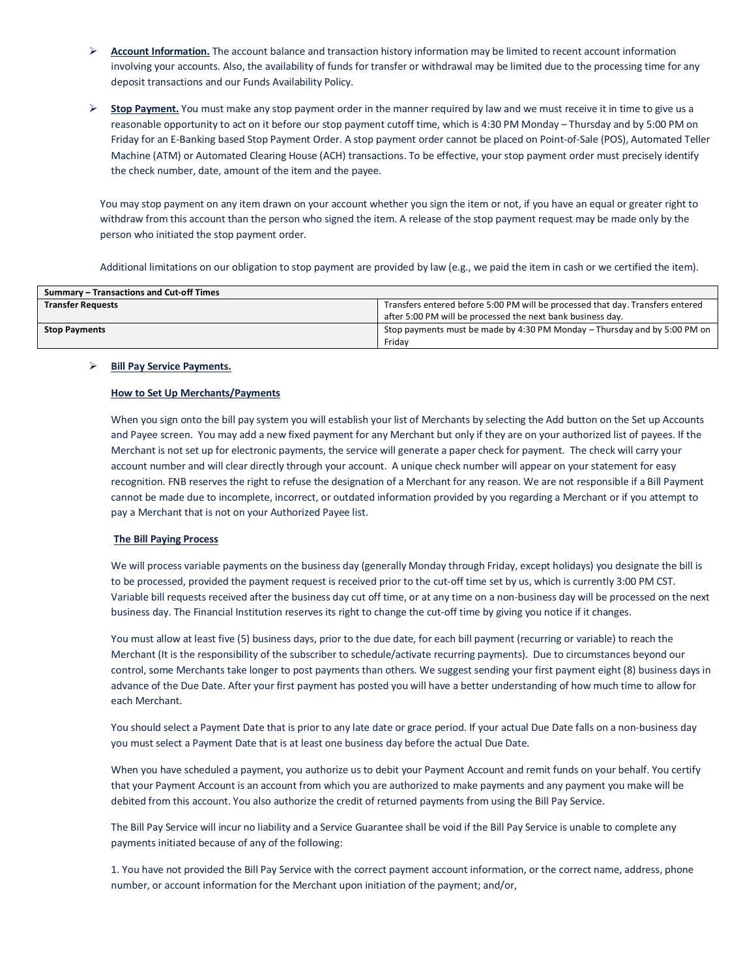- **Account Information.** The account balance and transaction history information may be limited to recent account information involving your accounts. Also, the availability of funds for transfer or withdrawal may be limited due to the processing time for any deposit transactions and our Funds Availability Policy.
- $\triangleright$  **Stop Payment.** You must make any stop payment order in the manner required by law and we must receive it in time to give us a reasonable opportunity to act on it before our stop payment cutoff time, which is 4:30 PM Monday – Thursday and by 5:00 PM on Friday for an E-Banking based Stop Payment Order. A stop payment order cannot be placed on Point-of-Sale (POS), Automated Teller Machine (ATM) or Automated Clearing House (ACH) transactions. To be effective, your stop payment order must precisely identify the check number, date, amount of the item and the payee.

You may stop payment on any item drawn on your account whether you sign the item or not, if you have an equal or greater right to withdraw from this account than the person who signed the item. A release of the stop payment request may be made only by the person who initiated the stop payment order.

Additional limitations on our obligation to stop payment are provided by law (e.g., we paid the item in cash or we certified the item).

| Summary - Transactions and Cut-off Times |                                                                                                                                               |  |
|------------------------------------------|-----------------------------------------------------------------------------------------------------------------------------------------------|--|
| <b>Transfer Requests</b>                 | Transfers entered before 5:00 PM will be processed that day. Transfers entered<br>after 5:00 PM will be processed the next bank business day. |  |
| <b>Stop Payments</b>                     | Stop payments must be made by 4:30 PM Monday – Thursday and by 5:00 PM on<br>Fridav                                                           |  |

## **Bill Pay Service Payments.**

## **How to Set Up Merchants/Payments**

When you sign onto the bill pay system you will establish your list of Merchants by selecting the Add button on the Set up Accounts and Payee screen. You may add a new fixed payment for any Merchant but only if they are on your authorized list of payees. If the Merchant is not set up for electronic payments, the service will generate a paper check for payment. The check will carry your account number and will clear directly through your account. A unique check number will appear on your statement for easy recognition. FNB reserves the right to refuse the designation of a Merchant for any reason. We are not responsible if a Bill Payment cannot be made due to incomplete, incorrect, or outdated information provided by you regarding a Merchant or if you attempt to pay a Merchant that is not on your Authorized Payee list.

#### **The Bill Paying Process**

We will process variable payments on the business day (generally Monday through Friday, except holidays) you designate the bill is to be processed, provided the payment request is received prior to the cut-off time set by us, which is currently 3:00 PM CST. Variable bill requests received after the business day cut off time, or at any time on a non-business day will be processed on the next business day. The Financial Institution reserves its right to change the cut-off time by giving you notice if it changes.

You must allow at least five (5) business days, prior to the due date, for each bill payment (recurring or variable) to reach the Merchant (It is the responsibility of the subscriber to schedule/activate recurring payments). Due to circumstances beyond our control, some Merchants take longer to post payments than others. We suggest sending your first payment eight (8) business days in advance of the Due Date. After your first payment has posted you will have a better understanding of how much time to allow for each Merchant.

You should select a Payment Date that is prior to any late date or grace period. If your actual Due Date falls on a non-business day you must select a Payment Date that is at least one business day before the actual Due Date.

When you have scheduled a payment, you authorize us to debit your Payment Account and remit funds on your behalf. You certify that your Payment Account is an account from which you are authorized to make payments and any payment you make will be debited from this account. You also authorize the credit of returned payments from using the Bill Pay Service.

The Bill Pay Service will incur no liability and a Service Guarantee shall be void if the Bill Pay Service is unable to complete any payments initiated because of any of the following:

1. You have not provided the Bill Pay Service with the correct payment account information, or the correct name, address, phone number, or account information for the Merchant upon initiation of the payment; and/or,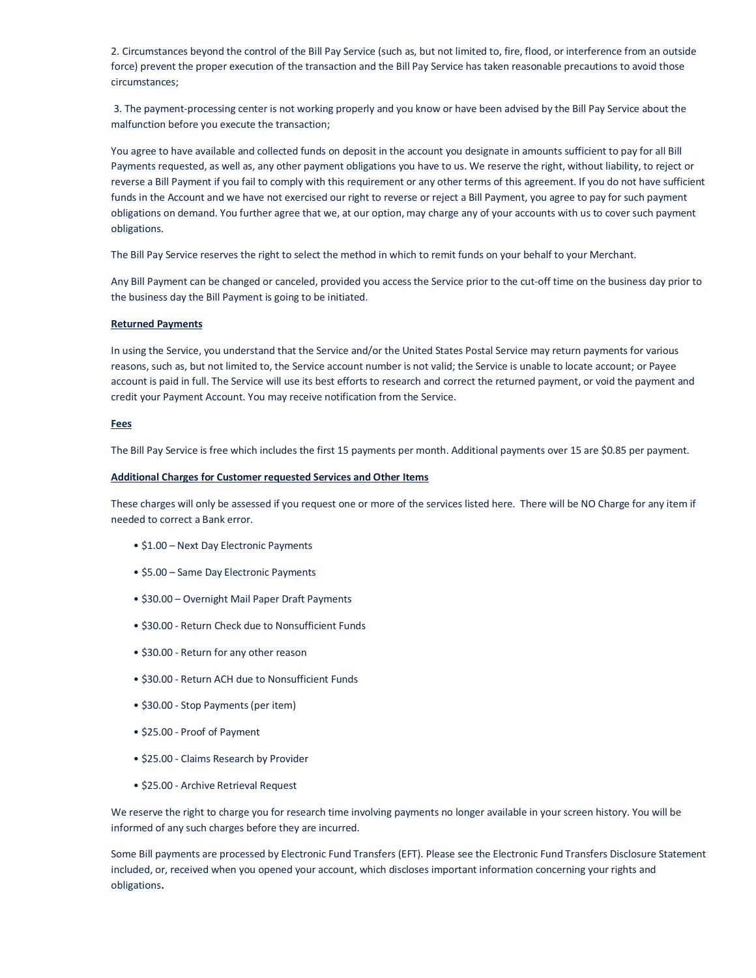2. Circumstances beyond the control of the Bill Pay Service (such as, but not limited to, fire, flood, or interference from an outside force) prevent the proper execution of the transaction and the Bill Pay Service has taken reasonable precautions to avoid those circumstances;

 3. The payment-processing center is not working properly and you know or have been advised by the Bill Pay Service about the malfunction before you execute the transaction;

You agree to have available and collected funds on deposit in the account you designate in amounts sufficient to pay for all Bill Payments requested, as well as, any other payment obligations you have to us. We reserve the right, without liability, to reject or reverse a Bill Payment if you fail to comply with this requirement or any other terms of this agreement. If you do not have sufficient funds in the Account and we have not exercised our right to reverse or reject a Bill Payment, you agree to pay for such payment obligations on demand. You further agree that we, at our option, may charge any of your accounts with us to cover such payment obligations.

The Bill Pay Service reserves the right to select the method in which to remit funds on your behalf to your Merchant.

Any Bill Payment can be changed or canceled, provided you access the Service prior to the cut-off time on the business day prior to the business day the Bill Payment is going to be initiated.

## **Returned Payments**

In using the Service, you understand that the Service and/or the United States Postal Service may return payments for various reasons, such as, but not limited to, the Service account number is not valid; the Service is unable to locate account; or Payee account is paid in full. The Service will use its best efforts to research and correct the returned payment, or void the payment and credit your Payment Account. You may receive notification from the Service.

#### **Fees**

The Bill Pay Service is free which includes the first 15 payments per month. Additional payments over 15 are \$0.85 per payment.

#### **Additional Charges for Customer requested Services and Other Items**

These charges will only be assessed if you request one or more of the services listed here. There will be NO Charge for any item if needed to correct a Bank error.

- \$1.00 Next Day Electronic Payments
- \$5.00 Same Day Electronic Payments
- \$30.00 Overnight Mail Paper Draft Payments
- \$30.00 Return Check due to Nonsufficient Funds
- \$30.00 Return for any other reason
- \$30.00 Return ACH due to Nonsufficient Funds
- \$30.00 Stop Payments (per item)
- \$25.00 Proof of Payment
- \$25.00 Claims Research by Provider
- \$25.00 Archive Retrieval Request

We reserve the right to charge you for research time involving payments no longer available in your screen history. You will be informed of any such charges before they are incurred.

Some Bill payments are processed by Electronic Fund Transfers (EFT). Please see the Electronic Fund Transfers Disclosure Statement included, or, received when you opened your account, which discloses important information concerning your rights and obligations**.**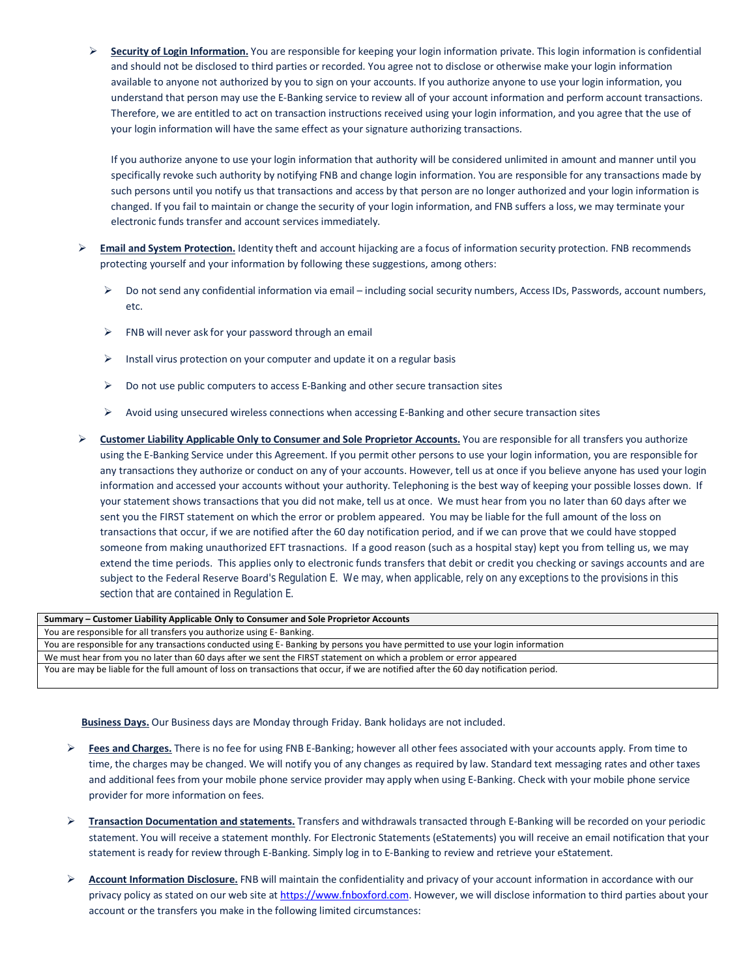**Security of Login Information.** You are responsible for keeping your login information private. This login information is confidential and should not be disclosed to third parties or recorded. You agree not to disclose or otherwise make your login information available to anyone not authorized by you to sign on your accounts. If you authorize anyone to use your login information, you understand that person may use the E-Banking service to review all of your account information and perform account transactions. Therefore, we are entitled to act on transaction instructions received using your login information, and you agree that the use of your login information will have the same effect as your signature authorizing transactions.

If you authorize anyone to use your login information that authority will be considered unlimited in amount and manner until you specifically revoke such authority by notifying FNB and change login information. You are responsible for any transactions made by such persons until you notify us that transactions and access by that person are no longer authorized and your login information is changed. If you fail to maintain or change the security of your login information, and FNB suffers a loss, we may terminate your electronic funds transfer and account services immediately.

- **Email and System Protection.** Identity theft and account hijacking are a focus of information security protection. FNB recommends protecting yourself and your information by following these suggestions, among others:
	- Do not send any confidential information via email including social security numbers, Access IDs, Passwords, account numbers, etc.
	- $\triangleright$  FNB will never ask for your password through an email
	- $\triangleright$  Install virus protection on your computer and update it on a regular basis
	- $\triangleright$  Do not use public computers to access E-Banking and other secure transaction sites
	- $\triangleright$  Avoid using unsecured wireless connections when accessing E-Banking and other secure transaction sites
- **Customer Liability Applicable Only to Consumer and Sole Proprietor Accounts.** You are responsible for all transfers you authorize using the E-Banking Service under this Agreement. If you permit other persons to use your login information, you are responsible for any transactions they authorize or conduct on any of your accounts. However, tell us at once if you believe anyone has used your login information and accessed your accounts without your authority. Telephoning is the best way of keeping your possible losses down. If your statement shows transactions that you did not make, tell us at once. We must hear from you no later than 60 days after we sent you the FIRST statement on which the error or problem appeared. You may be liable for the full amount of the loss on transactions that occur, if we are notified after the 60 day notification period, and if we can prove that we could have stopped someone from making unauthorized EFT trasnactions. If a good reason (such as a hospital stay) kept you from telling us, we may extend the time periods. This applies only to electronic funds transfers that debit or credit you checking or savings accounts and are subject to the Federal Reserve Board's Regulation E. We may, when applicable, rely on any exceptions to the provisions in this section that are contained in Regulation E.

| Summary – Customer Liability Applicable Only to Consumer and Sole Proprietor Accounts                                                  |
|----------------------------------------------------------------------------------------------------------------------------------------|
| You are responsible for all transfers you authorize using E-Banking.                                                                   |
| You are responsible for any transactions conducted using E-Banking by persons you have permitted to use your login information         |
| We must hear from you no later than 60 days after we sent the FIRST statement on which a problem or error appeared                     |
| You are may be liable for the full amount of loss on transactions that occur, if we are notified after the 60 day notification period. |
|                                                                                                                                        |

**Business Days.** Our Business days are Monday through Friday. Bank holidays are not included.

- **►** Fees and Charges. There is no fee for using FNB E-Banking; however all other fees associated with your accounts apply. From time to time, the charges may be changed. We will notify you of any changes as required by law. Standard text messaging rates and other taxes and additional fees from your mobile phone service provider may apply when using E-Banking. Check with your mobile phone service provider for more information on fees.
- **Transaction Documentation and statements.** Transfers and withdrawals transacted through E-Banking will be recorded on your periodic statement. You will receive a statement monthly. For Electronic Statements (eStatements) you will receive an email notification that your statement is ready for review through E-Banking. Simply log in to E-Banking to review and retrieve your eStatement.
- **Account Information Disclosure.** FNB will maintain the confidentiality and privacy of your account information in accordance with our privacy policy as stated on our web site at https://www.fnboxford.com. However, we will disclose information to third parties about your account or the transfers you make in the following limited circumstances: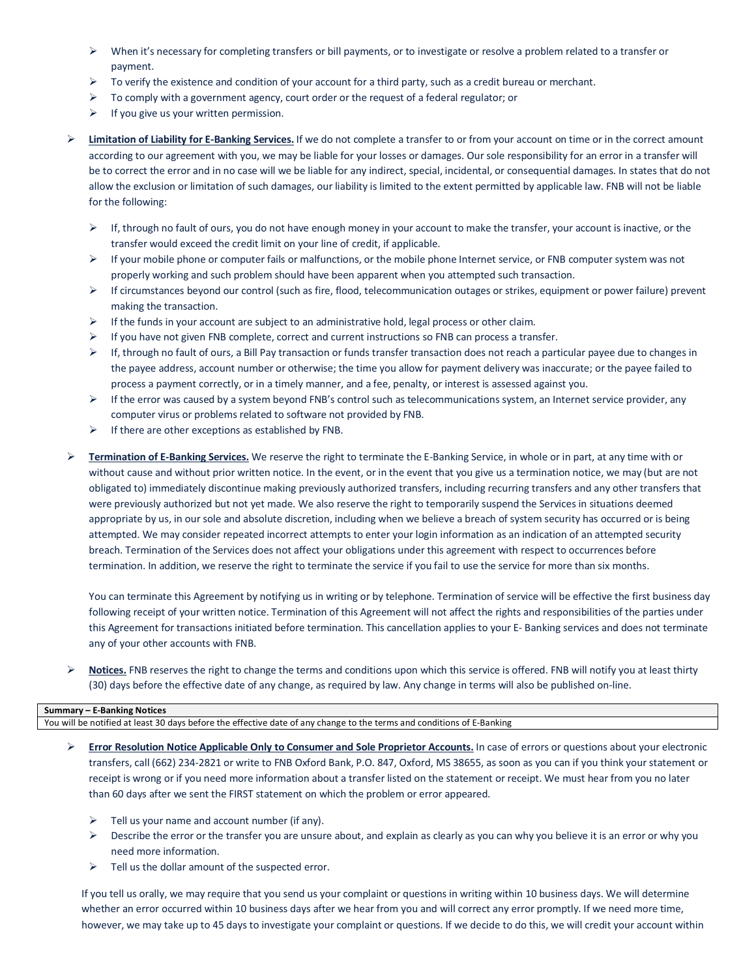- $\triangleright$  When it's necessary for completing transfers or bill payments, or to investigate or resolve a problem related to a transfer or payment.
- $\triangleright$  To verify the existence and condition of your account for a third party, such as a credit bureau or merchant.
- $\triangleright$  To comply with a government agency, court order or the request of a federal regulator; or
- $\triangleright$  If you give us your written permission.
- **Limitation of Liability for E-Banking Services.** If we do not complete a transfer to or from your account on time or in the correct amount according to our agreement with you, we may be liable for your losses or damages. Our sole responsibility for an error in a transfer will be to correct the error and in no case will we be liable for any indirect, special, incidental, or consequential damages. In states that do not allow the exclusion or limitation of such damages, our liability is limited to the extent permitted by applicable law. FNB will not be liable for the following:
	- $\triangleright$  If, through no fault of ours, you do not have enough money in your account to make the transfer, your account is inactive, or the transfer would exceed the credit limit on your line of credit, if applicable.
	- $\triangleright$  If your mobile phone or computer fails or malfunctions, or the mobile phone Internet service, or FNB computer system was not properly working and such problem should have been apparent when you attempted such transaction.
	- $\triangleright$  If circumstances beyond our control (such as fire, flood, telecommunication outages or strikes, equipment or power failure) prevent making the transaction.
	- $\triangleright$  If the funds in your account are subject to an administrative hold, legal process or other claim.
	- $\triangleright$  If you have not given FNB complete, correct and current instructions so FNB can process a transfer.
	- $\triangleright$  If, through no fault of ours, a Bill Pay transaction or funds transfer transaction does not reach a particular payee due to changes in the payee address, account number or otherwise; the time you allow for payment delivery was inaccurate; or the payee failed to process a payment correctly, or in a timely manner, and a fee, penalty, or interest is assessed against you.
	- $\triangleright$  If the error was caused by a system beyond FNB's control such as telecommunications system, an Internet service provider, any computer virus or problems related to software not provided by FNB.
	- $\triangleright$  If there are other exceptions as established by FNB.
- **Termination of E-Banking Services.** We reserve the right to terminate the E-Banking Service, in whole or in part, at any time with or without cause and without prior written notice. In the event, or in the event that you give us a termination notice, we may (but are not obligated to) immediately discontinue making previously authorized transfers, including recurring transfers and any other transfers that were previously authorized but not yet made. We also reserve the right to temporarily suspend the Services in situations deemed appropriate by us, in our sole and absolute discretion, including when we believe a breach of system security has occurred or is being attempted. We may consider repeated incorrect attempts to enter your login information as an indication of an attempted security breach. Termination of the Services does not affect your obligations under this agreement with respect to occurrences before termination. In addition, we reserve the right to terminate the service if you fail to use the service for more than six months.

You can terminate this Agreement by notifying us in writing or by telephone. Termination of service will be effective the first business day following receipt of your written notice. Termination of this Agreement will not affect the rights and responsibilities of the parties under this Agreement for transactions initiated before termination. This cancellation applies to your E- Banking services and does not terminate any of your other accounts with FNB.

**EXECT** Notices. FNB reserves the right to change the terms and conditions upon which this service is offered. FNB will notify you at least thirty (30) days before the effective date of any change, as required by law. Any change in terms will also be published on-line.

## **Summary – E-Banking Notices**

You will be notified at least 30 days before the effective date of any change to the terms and conditions of E-Banking

- **Error Resolution Notice Applicable Only to Consumer and Sole Proprietor Accounts.** In case of errors or questions about your electronic transfers, call (662) 234-2821 or write to FNB Oxford Bank, P.O. 847, Oxford, MS 38655, as soon as you can if you think your statement or receipt is wrong or if you need more information about a transfer listed on the statement or receipt. We must hear from you no later than 60 days after we sent the FIRST statement on which the problem or error appeared.
	- $\triangleright$  Tell us your name and account number (if any).
	- $\triangleright$  Describe the error or the transfer you are unsure about, and explain as clearly as you can why you believe it is an error or why you need more information.
	- $\triangleright$  Tell us the dollar amount of the suspected error.

If you tell us orally, we may require that you send us your complaint or questions in writing within 10 business days. We will determine whether an error occurred within 10 business days after we hear from you and will correct any error promptly. If we need more time, however, we may take up to 45 days to investigate your complaint or questions. If we decide to do this, we will credit your account within